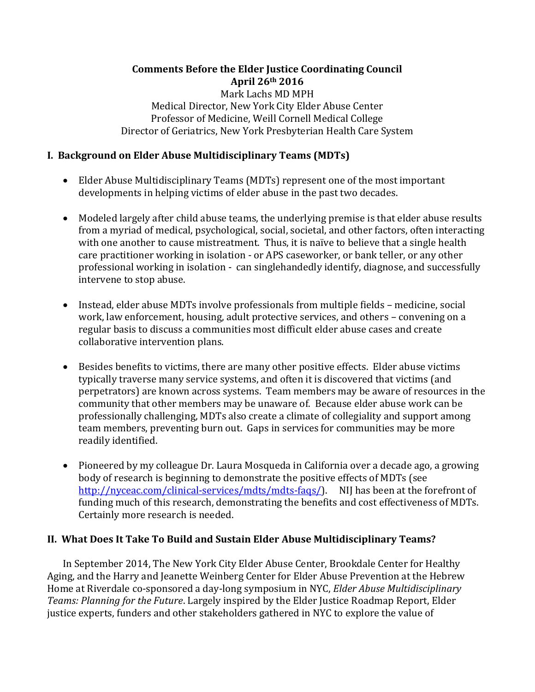## **Comments Before the Elder Justice Coordinating Council April 26th 2016** Mark Lachs MD MPH Medical Director, New York City Elder Abuse Center Professor of Medicine, Weill Cornell Medical College Director of Geriatrics, New York Presbyterian Health Care System

## **I. Background on Elder Abuse Multidisciplinary Teams (MDTs)**

- Elder Abuse Multidisciplinary Teams (MDTs) represent one of the most important developments in helping victims of elder abuse in the past two decades.
- Modeled largely after child abuse teams, the underlying premise is that elder abuse results from a myriad of medical, psychological, social, societal, and other factors, often interacting with one another to cause mistreatment. Thus, it is naïve to believe that a single health care practitioner working in isolation - or APS caseworker, or bank teller, or any other professional working in isolation - can singlehandedly identify, diagnose, and successfully intervene to stop abuse.
- Instead, elder abuse MDTs involve professionals from multiple fields medicine, social work, law enforcement, housing, adult protective services, and others – convening on a regular basis to discuss a communities most difficult elder abuse cases and create collaborative intervention plans.
- Besides benefits to victims, there are many other positive effects. Elder abuse victims typically traverse many service systems, and often it is discovered that victims (and perpetrators) are known across systems. Team members may be aware of resources in the community that other members may be unaware of. Because elder abuse work can be professionally challenging, MDTs also create a climate of collegiality and support among team members, preventing burn out. Gaps in services for communities may be more readily identified.
- Pioneered by my colleague Dr. Laura Mosqueda in California over a decade ago, a growing body of research is beginning to demonstrate the positive effects of MDTs (see [http://nyceac.com/clinical-services/mdts/mdts-faqs/\)](http://nyceac.com/clinical-services/mdts/mdts-faqs/). NIJ has been at the forefront of funding much of this research, demonstrating the benefits and cost effectiveness of MDTs. Certainly more research is needed.

## **II. What Does It Take To Build and Sustain Elder Abuse Multidisciplinary Teams?**

In September 2014, The New York City Elder Abuse Center, Brookdale Center for Healthy Aging, and the Harry and Jeanette Weinberg Center for Elder Abuse Prevention at the Hebrew Home at Riverdale co-sponsored a day-long symposium in NYC, *Elder Abuse Multidisciplinary Teams: Planning for the Future*. Largely inspired by the Elder Justice Roadmap Report, Elder justice experts, funders and other stakeholders gathered in NYC to explore the value of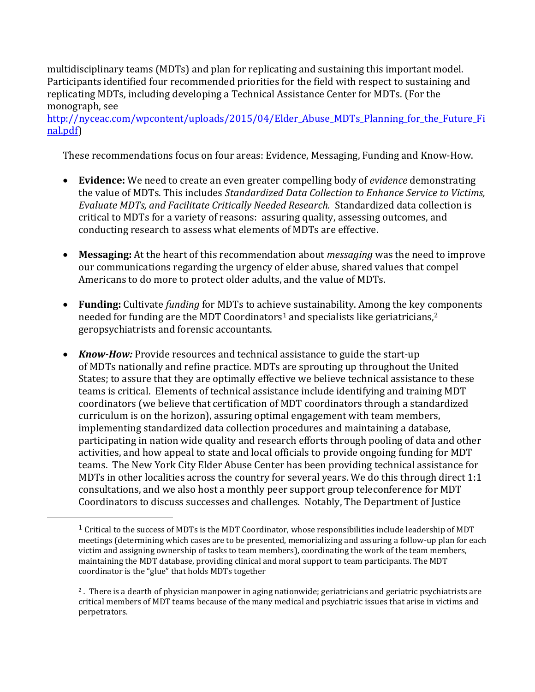multidisciplinary teams (MDTs) and plan for replicating and sustaining this important model. Participants identified four recommended priorities for the field with respect to sustaining and replicating MDTs, including developing a Technical Assistance Center for MDTs. (For the monograph, see

http://nyceac.com/wpcontent/uploads/2015/04/Elder Abuse MDTs Planning for the Future Fi [nal.pdf\)](http://nyceac.com/wp-content/uploads/2015/04/Elder_Abuse_MDTs_Planning_for_the_Future_Final.pdf)

These recommendations focus on four areas: Evidence, Messaging, Funding and Know-How.

- **Evidence:** We need to create an even greater compelling body of *evidence* demonstrating the value of MDTs. This includes *Standardized Data Collection to Enhance Service to Victims, Evaluate MDTs, and Facilitate Critically Needed Research.*Standardized data collection is critical to MDTs for a variety of reasons: assuring quality, assessing outcomes, and conducting research to assess what elements of MDTs are effective.
- **Messaging:** At the heart of this recommendation about *messaging* was the need to improve our communications regarding the urgency of elder abuse, shared values that compel Americans to do more to protect older adults, and the value of MDTs.
- **Funding:** Cultivate *funding* for MDTs to achieve sustainability. Among the key components needed for funding are the MDT Coordinators<sup>1</sup> and specialists like geriatricians,<sup>2</sup> geropsychiatrists and forensic accountants.
- *Know-How:* Provide resources and technical assistance to guide the start-up of MDTs nationally and refine practice. MDTs are sprouting up throughout the United States; to assure that they are optimally effective we believe technical assistance to these teams is critical. Elements of technical assistance include identifying and training MDT coordinators (we believe that certification of MDT coordinators through a standardized curriculum is on the horizon), assuring optimal engagement with team members, implementing standardized data collection procedures and maintaining a database, participating in nation wide quality and research efforts through pooling of data and other activities, and how appeal to state and local officials to provide ongoing funding for MDT teams. The New York City Elder Abuse Center has been providing technical assistance for MDTs in other localities across the country for several years. We do this through direct 1:1 consultations, and we also host a monthly peer support group teleconference for MDT Coordinators to discuss successes and challenges. Notably, The Department of Justice

 $\overline{\phantom{a}}$ 

 $1$  Critical to the success of MDTs is the MDT Coordinator, whose responsibilities include leadership of MDT meetings (determining which cases are to be presented, memorializing and assuring a follow-up plan for each victim and assigning ownership of tasks to team members), coordinating the work of the team members, maintaining the MDT database, providing clinical and moral support to team participants. The MDT coordinator is the "glue" that holds MDTs together

<sup>&</sup>lt;sup>2</sup>. There is a dearth of physician manpower in aging nationwide; geriatricians and geriatric psychiatrists are critical members of MDT teams because of the many medical and psychiatric issues that arise in victims and perpetrators.